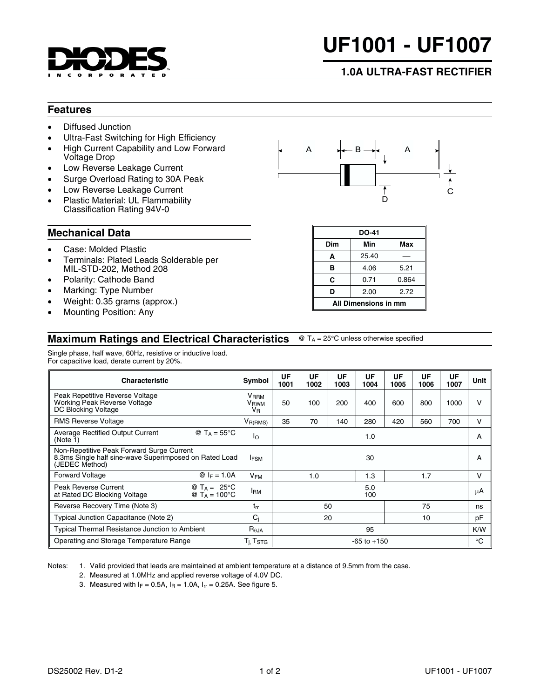

# **UF1001 - UF1007**

## **1.0A ULTRA-FAST RECTIFIER**

#### **Features**

- Diffused Junction
- Ultra-Fast Switching for High Efficiency
- High Current Capability and Low Forward Voltage Drop
- Low Reverse Leakage Current
- Surge Overload Rating to 30A Peak
- Low Reverse Leakage Current
- Plastic Material: UL Flammability Classification Rating 94V-0

### **Mechanical Data**

- Case: Molded Plastic
- Terminals: Plated Leads Solderable per MIL-STD-202, Method 208
- Polarity: Cathode Band
- Marking: Type Number
- Weight: 0.35 grams (approx.)
- Mounting Position: Any

#### **Maximum Ratings and Electrical Characteristics**  $\textcircled{ }$  T<sub>A</sub> = 25°C unless otherwise specified

Single phase, half wave, 60Hz, resistive or inductive load. For capacitive load, derate current by 20%.

| <b>Characteristic</b>                                                                                                 |                                                   | Symbol                                      | UF<br>1001      | UF<br>1002 | UF<br>1003 | UF<br>1004 | UF<br>1005 | UF<br>1006 | UF<br>1007 | Unit   |
|-----------------------------------------------------------------------------------------------------------------------|---------------------------------------------------|---------------------------------------------|-----------------|------------|------------|------------|------------|------------|------------|--------|
| Peak Repetitive Reverse Voltage<br>Working Peak Reverse Voltage<br>DC Blocking Voltage                                |                                                   | <b>V</b> RRM<br>V <sub>RWM</sub><br>$V_{R}$ | 50              | 100        | 200        | 400        | 600        | 800        | 1000       | $\vee$ |
| <b>RMS Reverse Voltage</b>                                                                                            |                                                   | $V_{R(RMS)}$                                | 35              | 70         | 140        | 280        | 420        | 560        | 700        | v      |
| <b>Average Rectified Output Current</b><br>@ T <sub>A</sub> = $55^{\circ}$ C<br>(Note 1)                              |                                                   | Ιo                                          | 1.0             |            |            |            |            | A          |            |        |
| Non-Repetitive Peak Forward Surge Current<br>8.3ms Single half sine-wave Superimposed on Rated Load<br>(JEDEC Method) |                                                   | <b>IFSM</b>                                 | 30              |            |            |            |            | A          |            |        |
| <b>Forward Voltage</b>                                                                                                | $@ _F = 1.0A$                                     | $V_{FM}$                                    |                 | 1.0        |            | 1.3        |            | 1.7        |            | v      |
| Peak Reverse Current<br>at Rated DC Blocking Voltage                                                                  | @ T <sub>A</sub> = 25°C<br>@ $T_A = 100^{\circ}C$ | <b>I</b> <sub>RM</sub>                      |                 |            |            | 5.0<br>100 |            |            |            | μA     |
| Reverse Recovery Time (Note 3)                                                                                        |                                                   | $t_{rr}$                                    | 75<br>50        |            |            |            | ns         |            |            |        |
| Typical Junction Capacitance (Note 2)                                                                                 |                                                   | $C_i$                                       | 10<br>20        |            |            | pF         |            |            |            |        |
| <b>Typical Thermal Resistance Junction to Ambient</b>                                                                 |                                                   | $R_{\theta$ JA                              | 95              |            |            |            |            | K/W        |            |        |
| Operating and Storage Temperature Range                                                                               |                                                   | T <sub>i</sub> , Tstg                       | $-65$ to $+150$ |            |            |            |            | °C         |            |        |

Notes: 1. Valid provided that leads are maintained at ambient temperature at a distance of 9.5mm from the case.

- 2. Measured at 1.0MHz and applied reverse voltage of 4.0V DC.
- 3. Measured with  $I_F = 0.5A$ ,  $I_R = 1.0A$ ,  $I_{rr} = 0.25A$ . See figure 5.



| DO-41                |       |       |  |  |  |  |
|----------------------|-------|-------|--|--|--|--|
| Dim                  | Min   | Max   |  |  |  |  |
| A                    | 25.40 |       |  |  |  |  |
| в                    | 4.06  | 5.21  |  |  |  |  |
| C                    | 0.71  | 0.864 |  |  |  |  |
| D                    | 2.00  | 2.72  |  |  |  |  |
| All Dimensions in mm |       |       |  |  |  |  |